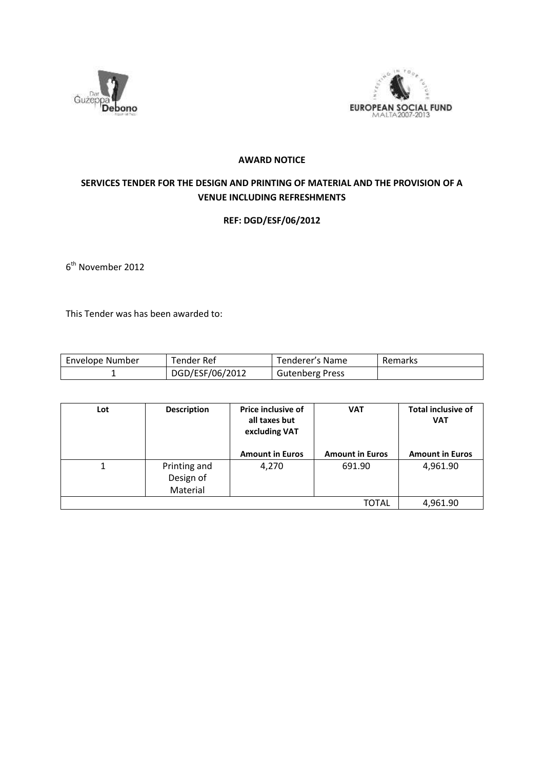



## **AWARD NOTICE**

## **SERVICES TENDER FOR THE DESIGN AND PRINTING OF MATERIAL AND THE PROVISION OF A VENUE INCLUDING REFRESHMENTS**

## **REF: DGD/ESF/06/2012**

6<sup>th</sup> November 2012

This Tender was has been awarded to:

| Envelope Number | Tender Ref      | Fenderer's Name        | Remarks |
|-----------------|-----------------|------------------------|---------|
|                 | DGD/ESF/06/2012 | <b>Gutenberg Press</b> |         |

| Lot | <b>Description</b> | <b>Price inclusive of</b><br>all taxes but<br>excluding VAT<br><b>Amount in Euros</b> | <b>VAT</b><br><b>Amount in Euros</b> | <b>Total inclusive of</b><br><b>VAT</b><br><b>Amount in Euros</b> |
|-----|--------------------|---------------------------------------------------------------------------------------|--------------------------------------|-------------------------------------------------------------------|
|     |                    |                                                                                       |                                      |                                                                   |
|     | Printing and       | 4,270                                                                                 | 691.90                               | 4,961.90                                                          |
|     | Design of          |                                                                                       |                                      |                                                                   |
|     | Material           |                                                                                       |                                      |                                                                   |
|     |                    |                                                                                       | TOTAL                                | 4,961.90                                                          |